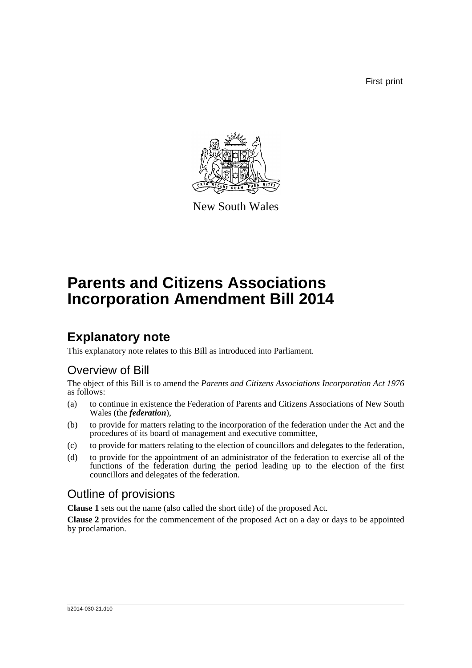First print



New South Wales

# **Parents and Citizens Associations Incorporation Amendment Bill 2014**

## **Explanatory note**

This explanatory note relates to this Bill as introduced into Parliament.

## Overview of Bill

The object of this Bill is to amend the *Parents and Citizens Associations Incorporation Act 1976* as follows:

- (a) to continue in existence the Federation of Parents and Citizens Associations of New South Wales (the *federation*),
- (b) to provide for matters relating to the incorporation of the federation under the Act and the procedures of its board of management and executive committee,
- (c) to provide for matters relating to the election of councillors and delegates to the federation,
- (d) to provide for the appointment of an administrator of the federation to exercise all of the functions of the federation during the period leading up to the election of the first councillors and delegates of the federation.

## Outline of provisions

**Clause 1** sets out the name (also called the short title) of the proposed Act.

**Clause 2** provides for the commencement of the proposed Act on a day or days to be appointed by proclamation.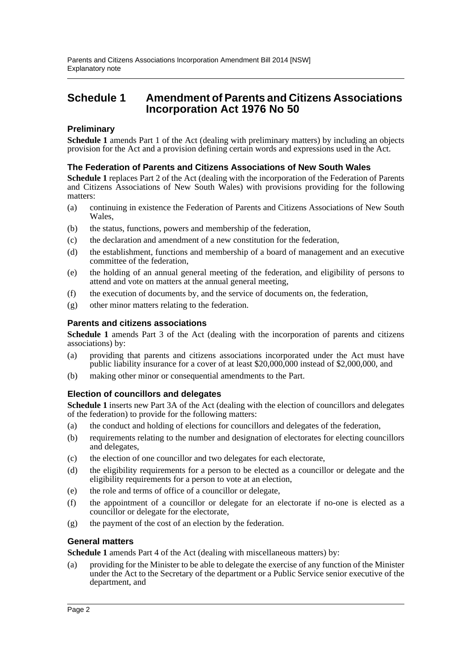### **Schedule 1 Amendment of Parents and Citizens Associations Incorporation Act 1976 No 50**

### **Preliminary**

**Schedule 1** amends Part 1 of the Act (dealing with preliminary matters) by including an objects provision for the Act and a provision defining certain words and expressions used in the Act.

#### **The Federation of Parents and Citizens Associations of New South Wales**

**Schedule 1** replaces Part 2 of the Act (dealing with the incorporation of the Federation of Parents and Citizens Associations of New South Wales) with provisions providing for the following matters:

- (a) continuing in existence the Federation of Parents and Citizens Associations of New South Wales,
- (b) the status, functions, powers and membership of the federation,
- (c) the declaration and amendment of a new constitution for the federation,
- (d) the establishment, functions and membership of a board of management and an executive committee of the federation,
- (e) the holding of an annual general meeting of the federation, and eligibility of persons to attend and vote on matters at the annual general meeting,
- (f) the execution of documents by, and the service of documents on, the federation,
- (g) other minor matters relating to the federation.

#### **Parents and citizens associations**

**Schedule 1** amends Part 3 of the Act (dealing with the incorporation of parents and citizens associations) by:

- (a) providing that parents and citizens associations incorporated under the Act must have public liability insurance for a cover of at least \$20,000,000 instead of \$2,000,000, and
- (b) making other minor or consequential amendments to the Part.

#### **Election of councillors and delegates**

**Schedule 1** inserts new Part 3A of the Act (dealing with the election of councillors and delegates of the federation) to provide for the following matters:

- (a) the conduct and holding of elections for councillors and delegates of the federation,
- (b) requirements relating to the number and designation of electorates for electing councillors and delegates,
- (c) the election of one councillor and two delegates for each electorate,
- (d) the eligibility requirements for a person to be elected as a councillor or delegate and the eligibility requirements for a person to vote at an election,
- (e) the role and terms of office of a councillor or delegate,
- (f) the appointment of a councillor or delegate for an electorate if no-one is elected as a councillor or delegate for the electorate,
- (g) the payment of the cost of an election by the federation.

#### **General matters**

**Schedule 1** amends Part 4 of the Act (dealing with miscellaneous matters) by:

(a) providing for the Minister to be able to delegate the exercise of any function of the Minister under the Act to the Secretary of the department or a Public Service senior executive of the department, and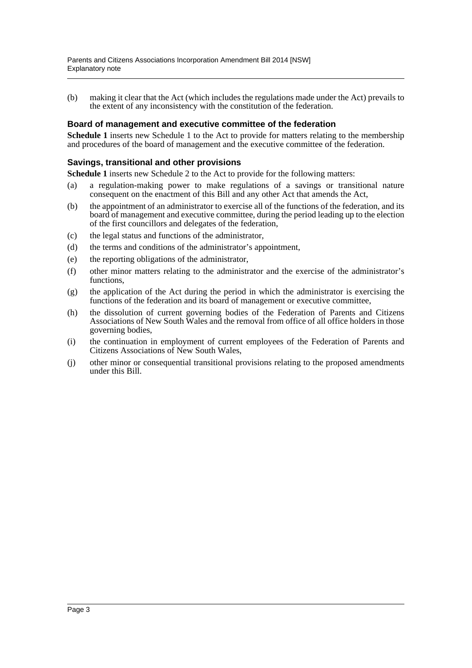(b) making it clear that the Act (which includes the regulations made under the Act) prevails to the extent of any inconsistency with the constitution of the federation.

#### **Board of management and executive committee of the federation**

**Schedule 1** inserts new Schedule 1 to the Act to provide for matters relating to the membership and procedures of the board of management and the executive committee of the federation.

#### **Savings, transitional and other provisions**

**Schedule 1** inserts new Schedule 2 to the Act to provide for the following matters:

- (a) a regulation-making power to make regulations of a savings or transitional nature consequent on the enactment of this Bill and any other Act that amends the Act,
- (b) the appointment of an administrator to exercise all of the functions of the federation, and its board of management and executive committee, during the period leading up to the election of the first councillors and delegates of the federation,
- (c) the legal status and functions of the administrator,
- (d) the terms and conditions of the administrator's appointment,
- (e) the reporting obligations of the administrator,
- (f) other minor matters relating to the administrator and the exercise of the administrator's functions,
- (g) the application of the Act during the period in which the administrator is exercising the functions of the federation and its board of management or executive committee,
- (h) the dissolution of current governing bodies of the Federation of Parents and Citizens Associations of New South Wales and the removal from office of all office holders in those governing bodies,
- (i) the continuation in employment of current employees of the Federation of Parents and Citizens Associations of New South Wales,
- (j) other minor or consequential transitional provisions relating to the proposed amendments under this Bill.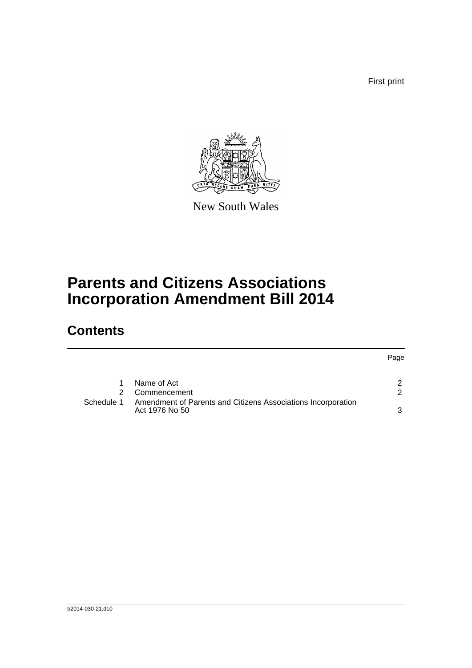First print

Page



New South Wales

# **Parents and Citizens Associations Incorporation Amendment Bill 2014**

## **Contents**

|            | Name of Act                                                                    |  |
|------------|--------------------------------------------------------------------------------|--|
|            | 2 Commencement                                                                 |  |
| Schedule 1 | Amendment of Parents and Citizens Associations Incorporation<br>Act 1976 No 50 |  |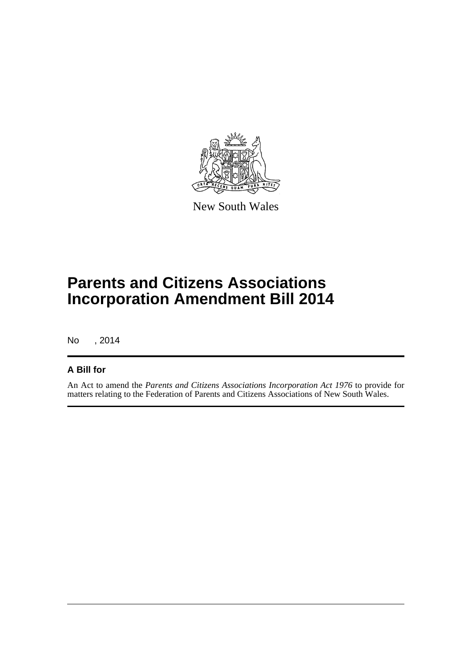

New South Wales

## **Parents and Citizens Associations Incorporation Amendment Bill 2014**

No , 2014

### **A Bill for**

An Act to amend the *Parents and Citizens Associations Incorporation Act 1976* to provide for matters relating to the Federation of Parents and Citizens Associations of New South Wales.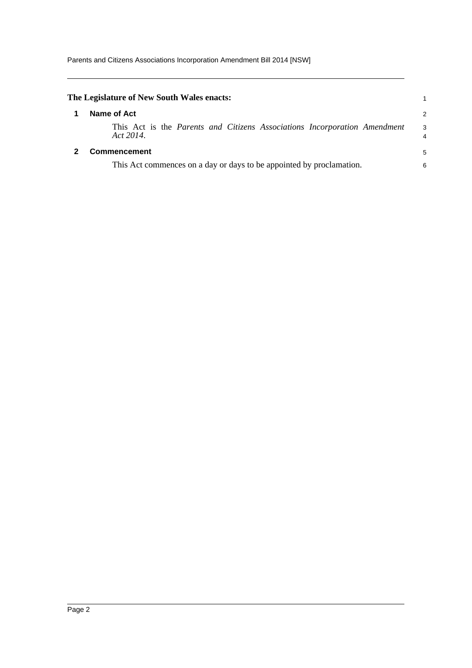<span id="page-5-1"></span><span id="page-5-0"></span>

| The Legislature of New South Wales enacts:                                             |        |
|----------------------------------------------------------------------------------------|--------|
| Name of Act                                                                            | 2      |
| This Act is the Parents and Citizens Associations Incorporation Amendment<br>Act 2014. | 3<br>4 |
| <b>Commencement</b>                                                                    | 5      |
| This Act commences on a day or days to be appointed by proclamation.                   | 6      |
|                                                                                        |        |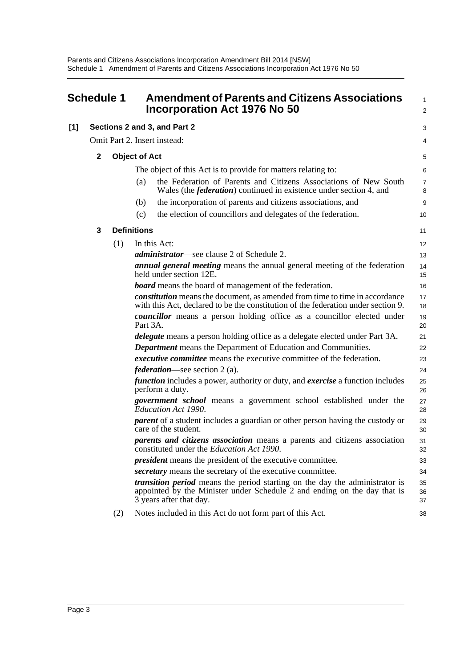<span id="page-6-0"></span>

|       | <b>Schedule 1</b> |     | <b>Amendment of Parents and Citizens Associations</b><br>Incorporation Act 1976 No 50                                                                                                     | $\mathbf{1}$<br>$\overline{2}$ |
|-------|-------------------|-----|-------------------------------------------------------------------------------------------------------------------------------------------------------------------------------------------|--------------------------------|
| $[1]$ |                   |     | Sections 2 and 3, and Part 2                                                                                                                                                              | 3                              |
|       |                   |     | Omit Part 2. Insert instead:                                                                                                                                                              | 4                              |
|       | $\mathbf{2}$      |     | <b>Object of Act</b>                                                                                                                                                                      | 5                              |
|       |                   |     | The object of this Act is to provide for matters relating to:                                                                                                                             | 6                              |
|       |                   |     | the Federation of Parents and Citizens Associations of New South<br>(a)<br>Wales (the <i>federation</i> ) continued in existence under section 4, and                                     | $\overline{7}$<br>8            |
|       |                   |     | the incorporation of parents and citizens associations, and<br>(b)                                                                                                                        | 9                              |
|       |                   |     | the election of councillors and delegates of the federation.<br>(c)                                                                                                                       | 10                             |
|       | 3                 |     | <b>Definitions</b>                                                                                                                                                                        | 11                             |
|       |                   | (1) | In this Act:                                                                                                                                                                              | 12                             |
|       |                   |     | <i>administrator</i> —see clause 2 of Schedule 2.                                                                                                                                         | 13                             |
|       |                   |     | <i>annual general meeting</i> means the annual general meeting of the federation<br>held under section 12E.                                                                               | 14<br>15                       |
|       |                   |     | <b>board</b> means the board of management of the federation.                                                                                                                             | 16                             |
|       |                   |     | <i>constitution</i> means the document, as amended from time to time in accordance<br>with this Act, declared to be the constitution of the federation under section 9.                   | 17<br>18                       |
|       |                   |     | councillor means a person holding office as a councillor elected under<br>Part 3A.                                                                                                        | 19<br>20                       |
|       |                   |     | <i>delegate</i> means a person holding office as a delegate elected under Part 3A.                                                                                                        | 21                             |
|       |                   |     | <b>Department</b> means the Department of Education and Communities.                                                                                                                      | 22                             |
|       |                   |     | <i>executive committee</i> means the executive committee of the federation.                                                                                                               | 23                             |
|       |                   |     | <i>federation</i> —see section 2 (a).                                                                                                                                                     | 24                             |
|       |                   |     | <i>function</i> includes a power, authority or duty, and <i>exercise</i> a function includes<br>perform a duty.                                                                           | 25<br>26                       |
|       |                   |     | government school means a government school established under the<br>Education Act 1990.                                                                                                  | 27<br>28                       |
|       |                   |     | <i>parent</i> of a student includes a guardian or other person having the custody or<br>care of the student.                                                                              | 29<br>30                       |
|       |                   |     | <i>parents and citizens association</i> means a parents and citizens association<br>constituted under the Education Act 1990.                                                             | 31<br>32                       |
|       |                   |     | <i>president</i> means the president of the executive committee.                                                                                                                          | 33                             |
|       |                   |     | secretary means the secretary of the executive committee.                                                                                                                                 | 34                             |
|       |                   |     | <i>transition period</i> means the period starting on the day the administrator is<br>appointed by the Minister under Schedule 2 and ending on the day that is<br>3 years after that day. | 35<br>36<br>37                 |
|       |                   | (2) | Notes included in this Act do not form part of this Act.                                                                                                                                  | 38                             |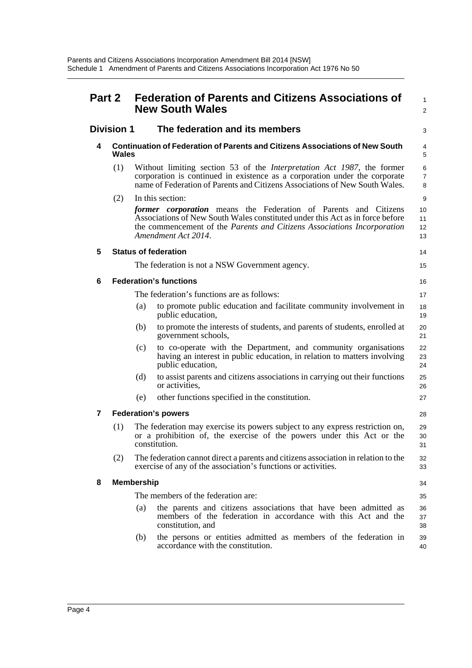| <b>Part 2</b> |                   |                   | <b>Federation of Parents and Citizens Associations of</b><br><b>New South Wales</b>                                                                                                                                                                       | 1<br>2                   |
|---------------|-------------------|-------------------|-----------------------------------------------------------------------------------------------------------------------------------------------------------------------------------------------------------------------------------------------------------|--------------------------|
|               | <b>Division 1</b> |                   | The federation and its members                                                                                                                                                                                                                            | 3                        |
| 4             | Wales             |                   | <b>Continuation of Federation of Parents and Citizens Associations of New South</b>                                                                                                                                                                       | 4<br>5                   |
|               | (1)               |                   | Without limiting section 53 of the <i>Interpretation Act 1987</i> , the former<br>corporation is continued in existence as a corporation under the corporate<br>name of Federation of Parents and Citizens Associations of New South Wales.               | 6<br>$\overline{7}$<br>8 |
|               | (2)               |                   | In this section:                                                                                                                                                                                                                                          | 9                        |
|               |                   |                   | <i>former corporation</i> means the Federation of Parents and Citizens<br>Associations of New South Wales constituted under this Act as in force before<br>the commencement of the Parents and Citizens Associations Incorporation<br>Amendment Act 2014. | 10<br>11<br>12<br>13     |
| 5             |                   |                   | <b>Status of federation</b>                                                                                                                                                                                                                               | 14                       |
|               |                   |                   | The federation is not a NSW Government agency.                                                                                                                                                                                                            | 15                       |
| 6             |                   |                   | <b>Federation's functions</b>                                                                                                                                                                                                                             | 16                       |
|               |                   |                   | The federation's functions are as follows:                                                                                                                                                                                                                | 17                       |
|               |                   | (a)               | to promote public education and facilitate community involvement in<br>public education,                                                                                                                                                                  | 18<br>19                 |
|               |                   | (b)               | to promote the interests of students, and parents of students, enrolled at<br>government schools,                                                                                                                                                         | 20<br>21                 |
|               |                   | (c)               | to co-operate with the Department, and community organisations<br>having an interest in public education, in relation to matters involving<br>public education,                                                                                           | 22<br>23<br>24           |
|               |                   | (d)               | to assist parents and citizens associations in carrying out their functions<br>or activities,                                                                                                                                                             | 25<br>26                 |
|               |                   | (e)               | other functions specified in the constitution.                                                                                                                                                                                                            | 27                       |
| 7             |                   |                   | <b>Federation's powers</b>                                                                                                                                                                                                                                | 28                       |
|               | (1)               |                   | The federation may exercise its powers subject to any express restriction on,<br>or a prohibition of, the exercise of the powers under this Act or the<br>constitution.                                                                                   | 29<br>30<br>31           |
|               | (2)               |                   | The federation cannot direct a parents and citizens association in relation to the<br>exercise of any of the association's functions or activities.                                                                                                       | 32<br>33                 |
| 8             |                   | <b>Membership</b> |                                                                                                                                                                                                                                                           | 34                       |
|               |                   |                   | The members of the federation are:                                                                                                                                                                                                                        | 35                       |
|               |                   | (a)               | the parents and citizens associations that have been admitted as<br>members of the federation in accordance with this Act and the<br>constitution, and                                                                                                    | 36<br>37<br>38           |
|               |                   | (b)               | the persons or entities admitted as members of the federation in<br>accordance with the constitution.                                                                                                                                                     | 39<br>40                 |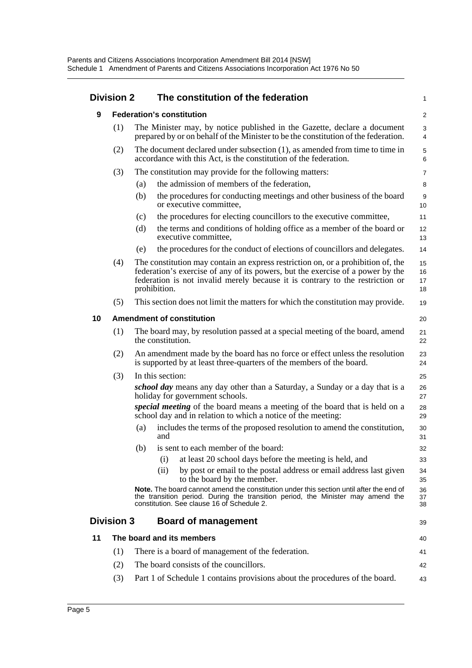### **Division 2 The constitution of the federation**

|    | <b>Division 2</b>                |     | The constitution of the federation                                                                                                                                                                                                                                  | $\mathbf{1}$         |
|----|----------------------------------|-----|---------------------------------------------------------------------------------------------------------------------------------------------------------------------------------------------------------------------------------------------------------------------|----------------------|
| 9  |                                  |     | <b>Federation's constitution</b>                                                                                                                                                                                                                                    | 2                    |
|    | (1)                              |     | The Minister may, by notice published in the Gazette, declare a document<br>prepared by or on behalf of the Minister to be the constitution of the federation.                                                                                                      | 3<br>4               |
|    | (2)                              |     | The document declared under subsection (1), as amended from time to time in<br>accordance with this Act, is the constitution of the federation.                                                                                                                     | 5<br>6               |
|    | (3)                              |     | The constitution may provide for the following matters:                                                                                                                                                                                                             | $\overline{7}$       |
|    |                                  | (a) | the admission of members of the federation,                                                                                                                                                                                                                         | 8                    |
|    |                                  | (b) | the procedures for conducting meetings and other business of the board<br>or executive committee,                                                                                                                                                                   | 9<br>10              |
|    |                                  | (c) | the procedures for electing councillors to the executive committee,                                                                                                                                                                                                 | 11                   |
|    |                                  | (d) | the terms and conditions of holding office as a member of the board or<br>executive committee,                                                                                                                                                                      | 12<br>13             |
|    |                                  | (e) | the procedures for the conduct of elections of councillors and delegates.                                                                                                                                                                                           | 14                   |
|    | (4)                              |     | The constitution may contain an express restriction on, or a prohibition of, the<br>federation's exercise of any of its powers, but the exercise of a power by the<br>federation is not invalid merely because it is contrary to the restriction or<br>prohibition. | 15<br>16<br>17<br>18 |
|    | (5)                              |     | This section does not limit the matters for which the constitution may provide.                                                                                                                                                                                     | 19                   |
| 10 | <b>Amendment of constitution</b> |     |                                                                                                                                                                                                                                                                     |                      |
|    | (1)                              |     | The board may, by resolution passed at a special meeting of the board, amend<br>the constitution.                                                                                                                                                                   | 21<br>22             |
|    | (2)                              |     | An amendment made by the board has no force or effect unless the resolution<br>is supported by at least three-quarters of the members of the board.                                                                                                                 | 23<br>24             |
|    | (3)                              |     | In this section:                                                                                                                                                                                                                                                    | 25                   |
|    |                                  |     | school day means any day other than a Saturday, a Sunday or a day that is a<br>holiday for government schools.                                                                                                                                                      | 26<br>27             |
|    |                                  |     | special meeting of the board means a meeting of the board that is held on a<br>school day and in relation to which a notice of the meeting:                                                                                                                         | 28<br>29             |
|    |                                  | (a) | includes the terms of the proposed resolution to amend the constitution,<br>and                                                                                                                                                                                     | 30<br>31             |
|    |                                  | (b) | is sent to each member of the board:                                                                                                                                                                                                                                | 32                   |
|    |                                  |     | at least 20 school days before the meeting is held, and<br>(i)                                                                                                                                                                                                      | 33                   |
|    |                                  |     | by post or email to the postal address or email address last given<br>(ii)<br>to the board by the member.                                                                                                                                                           | 34<br>35             |
|    |                                  |     | <b>Note.</b> The board cannot amend the constitution under this section until after the end of<br>the transition period. During the transition period, the Minister may amend the<br>constitution. See clause 16 of Schedule 2.                                     | 36<br>37<br>38       |
|    | <b>Division 3</b>                |     | <b>Board of management</b>                                                                                                                                                                                                                                          | 39                   |
| 11 |                                  |     | The board and its members                                                                                                                                                                                                                                           | 40                   |
|    | (1)                              |     | There is a board of management of the federation.                                                                                                                                                                                                                   | 41                   |
|    | (2)                              |     | The board consists of the councillors.                                                                                                                                                                                                                              | 42                   |

(3) Part 1 of Schedule 1 contains provisions about the procedures of the board. 43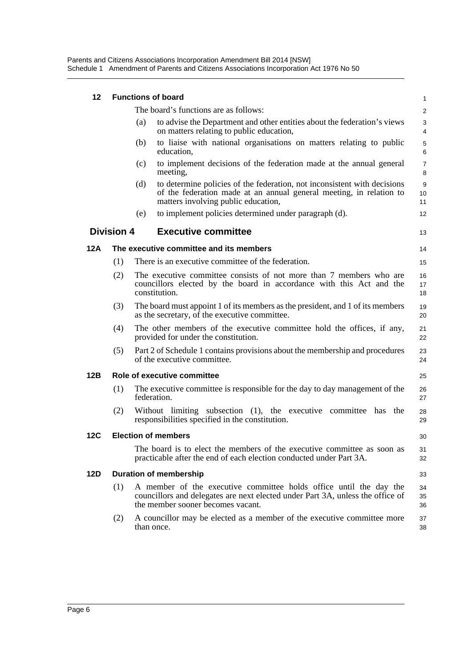Parents and Citizens Associations Incorporation Amendment Bill 2014 [NSW] Schedule 1 Amendment of Parents and Citizens Associations Incorporation Act 1976 No 50

| 12  |                   |     | <b>Functions of board</b>                                                                                                                                                                 | 1                            |
|-----|-------------------|-----|-------------------------------------------------------------------------------------------------------------------------------------------------------------------------------------------|------------------------------|
|     |                   |     | The board's functions are as follows:                                                                                                                                                     | $\overline{2}$               |
|     |                   | (a) | to advise the Department and other entities about the federation's views<br>on matters relating to public education,                                                                      | 3<br>4                       |
|     |                   | (b) | to liaise with national organisations on matters relating to public<br>education,                                                                                                         | $\mathbf 5$<br>6             |
|     |                   | (c) | to implement decisions of the federation made at the annual general<br>meeting,                                                                                                           | $\overline{7}$<br>8          |
|     |                   | (d) | to determine policies of the federation, not inconsistent with decisions<br>of the federation made at an annual general meeting, in relation to<br>matters involving public education,    | $\boldsymbol{9}$<br>10<br>11 |
|     |                   | (e) | to implement policies determined under paragraph (d).                                                                                                                                     | 12                           |
|     | <b>Division 4</b> |     | <b>Executive committee</b>                                                                                                                                                                | 13                           |
| 12A |                   |     | The executive committee and its members                                                                                                                                                   | 14                           |
|     | (1)               |     | There is an executive committee of the federation.                                                                                                                                        | 15                           |
|     | (2)               |     | The executive committee consists of not more than 7 members who are<br>councillors elected by the board in accordance with this Act and the<br>constitution.                              | 16<br>17<br>18               |
|     | (3)               |     | The board must appoint 1 of its members as the president, and 1 of its members<br>as the secretary, of the executive committee.                                                           | 19<br>20                     |
|     | (4)               |     | The other members of the executive committee hold the offices, if any,<br>provided for under the constitution.                                                                            | 21<br>22                     |
|     | (5)               |     | Part 2 of Schedule 1 contains provisions about the membership and procedures<br>of the executive committee.                                                                               | 23<br>24                     |
| 12B |                   |     | Role of executive committee                                                                                                                                                               | 25                           |
|     | (1)               |     | The executive committee is responsible for the day to day management of the<br>federation.                                                                                                | 26<br>27                     |
|     | (2)               |     | Without limiting subsection (1), the executive committee has the<br>responsibilities specified in the constitution.                                                                       | 28<br>29                     |
| 12C |                   |     | <b>Election of members</b>                                                                                                                                                                | 30                           |
|     |                   |     | The board is to elect the members of the executive committee as soon as<br>practicable after the end of each election conducted under Part 3A.                                            | 31<br>32                     |
| 12D |                   |     | <b>Duration of membership</b>                                                                                                                                                             | 33                           |
|     | (1)               |     | A member of the executive committee holds office until the day the<br>councillors and delegates are next elected under Part 3A, unless the office of<br>the member sooner becomes vacant. | 34<br>35<br>36               |
|     | (2)               |     | A councillor may be elected as a member of the executive committee more<br>than once.                                                                                                     | 37<br>38                     |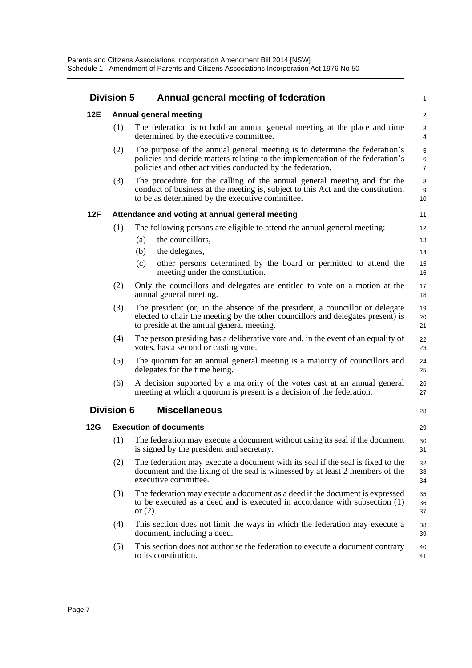|            | <b>Division 5</b>             | Annual general meeting of federation                                                                                                                                                                                       |                          |  |  |
|------------|-------------------------------|----------------------------------------------------------------------------------------------------------------------------------------------------------------------------------------------------------------------------|--------------------------|--|--|
| <b>12E</b> |                               | Annual general meeting                                                                                                                                                                                                     | $\overline{2}$           |  |  |
|            | (1)                           | The federation is to hold an annual general meeting at the place and time<br>determined by the executive committee.                                                                                                        | 3<br>4                   |  |  |
|            | (2)                           | The purpose of the annual general meeting is to determine the federation's<br>policies and decide matters relating to the implementation of the federation's<br>policies and other activities conducted by the federation. | 5<br>6<br>$\overline{7}$ |  |  |
|            | (3)                           | The procedure for the calling of the annual general meeting and for the<br>conduct of business at the meeting is, subject to this Act and the constitution,<br>to be as determined by the executive committee.             | 8<br>9<br>10             |  |  |
| 12F        |                               | Attendance and voting at annual general meeting                                                                                                                                                                            | 11                       |  |  |
|            | (1)                           | The following persons are eligible to attend the annual general meeting:                                                                                                                                                   | 12                       |  |  |
|            |                               | the councillors,<br>(a)                                                                                                                                                                                                    | 13                       |  |  |
|            |                               | the delegates,<br>(b)                                                                                                                                                                                                      | 14                       |  |  |
|            |                               | other persons determined by the board or permitted to attend the<br>(c)<br>meeting under the constitution.                                                                                                                 | 15<br>16                 |  |  |
|            | (2)                           | Only the councillors and delegates are entitled to vote on a motion at the<br>annual general meeting.                                                                                                                      | 17<br>18                 |  |  |
|            | (3)                           | The president (or, in the absence of the president, a council or or delegate<br>elected to chair the meeting by the other councillors and delegates present) is<br>to preside at the annual general meeting.               | 19<br>20<br>21           |  |  |
|            | (4)                           | The person presiding has a deliberative vote and, in the event of an equality of<br>votes, has a second or casting vote.                                                                                                   | 22<br>23                 |  |  |
|            | (5)                           | The quorum for an annual general meeting is a majority of councillors and<br>delegates for the time being.                                                                                                                 | 24<br>25                 |  |  |
|            | (6)                           | A decision supported by a majority of the votes cast at an annual general<br>meeting at which a quorum is present is a decision of the federation.                                                                         | 26<br>27                 |  |  |
|            | <b>Division 6</b>             | <b>Miscellaneous</b>                                                                                                                                                                                                       | 28                       |  |  |
| <b>12G</b> | <b>Execution of documents</b> |                                                                                                                                                                                                                            |                          |  |  |
|            | (1)                           | The federation may execute a document without using its seal if the document<br>is signed by the president and secretary.                                                                                                  | 30<br>31                 |  |  |
|            | (2)                           | The federation may execute a document with its seal if the seal is fixed to the<br>document and the fixing of the seal is witnessed by at least 2 members of the<br>executive committee.                                   | 32<br>33<br>34           |  |  |
|            | (3)                           | The federation may execute a document as a deed if the document is expressed<br>to be executed as a deed and is executed in accordance with subsection (1)<br>or $(2)$ .                                                   | 35<br>36<br>37           |  |  |
|            | (4)                           | This section does not limit the ways in which the federation may execute a<br>document, including a deed.                                                                                                                  | 38<br>39                 |  |  |
|            | (5)                           | This section does not authorise the federation to execute a document contrary<br>to its constitution.                                                                                                                      | 40<br>41                 |  |  |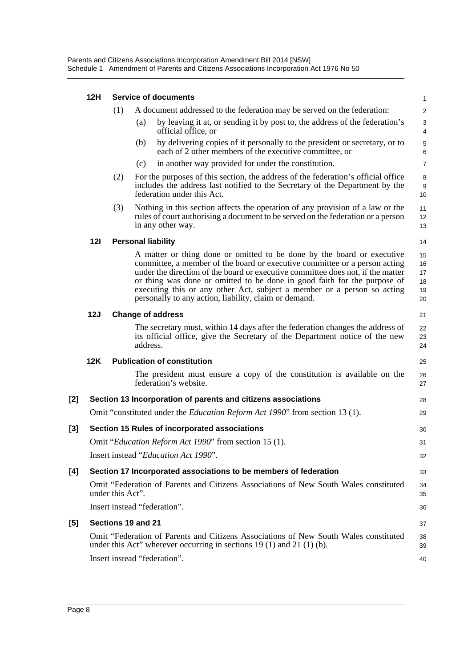|     | 12H |                    |          | <b>Service of documents</b>                                                                                                                                                                                                                                                                                                                                                                                                                             | $\mathbf{1}$                     |
|-----|-----|--------------------|----------|---------------------------------------------------------------------------------------------------------------------------------------------------------------------------------------------------------------------------------------------------------------------------------------------------------------------------------------------------------------------------------------------------------------------------------------------------------|----------------------------------|
|     |     | (1)                |          | A document addressed to the federation may be served on the federation:                                                                                                                                                                                                                                                                                                                                                                                 | $\overline{c}$                   |
|     |     |                    | (a)      | by leaving it at, or sending it by post to, the address of the federation's<br>official office, or                                                                                                                                                                                                                                                                                                                                                      | $\ensuremath{\mathsf{3}}$<br>4   |
|     |     |                    | (b)      | by delivering copies of it personally to the president or secretary, or to<br>each of 2 other members of the executive committee, or                                                                                                                                                                                                                                                                                                                    | $\mathbf 5$<br>6                 |
|     |     |                    | (c)      | in another way provided for under the constitution.                                                                                                                                                                                                                                                                                                                                                                                                     | $\overline{7}$                   |
|     |     | (2)                |          | For the purposes of this section, the address of the federation's official office<br>includes the address last notified to the Secretary of the Department by the<br>federation under this Act.                                                                                                                                                                                                                                                         | 8<br>9<br>10                     |
|     |     | (3)                |          | Nothing in this section affects the operation of any provision of a law or the<br>rules of court authorising a document to be served on the federation or a person<br>in any other way.                                                                                                                                                                                                                                                                 | 11<br>12<br>13                   |
|     | 12I |                    |          | <b>Personal liability</b>                                                                                                                                                                                                                                                                                                                                                                                                                               | 14                               |
|     |     |                    |          | A matter or thing done or omitted to be done by the board or executive<br>committee, a member of the board or executive committee or a person acting<br>under the direction of the board or executive committee does not, if the matter<br>or thing was done or omitted to be done in good faith for the purpose of<br>executing this or any other Act, subject a member or a person so acting<br>personally to any action, liability, claim or demand. | 15<br>16<br>17<br>18<br>19<br>20 |
|     | 12J |                    |          | <b>Change of address</b>                                                                                                                                                                                                                                                                                                                                                                                                                                | 21                               |
|     |     |                    | address. | The secretary must, within 14 days after the federation changes the address of<br>its official office, give the Secretary of the Department notice of the new                                                                                                                                                                                                                                                                                           | 22<br>23<br>24                   |
|     | 12K |                    |          | <b>Publication of constitution</b>                                                                                                                                                                                                                                                                                                                                                                                                                      | 25                               |
|     |     |                    |          | The president must ensure a copy of the constitution is available on the<br>federation's website.                                                                                                                                                                                                                                                                                                                                                       | 26<br>27                         |
| [2] |     |                    |          | Section 13 Incorporation of parents and citizens associations                                                                                                                                                                                                                                                                                                                                                                                           | 28                               |
|     |     |                    |          | Omit "constituted under the Education Reform Act 1990" from section 13 (1).                                                                                                                                                                                                                                                                                                                                                                             | 29                               |
| [3] |     |                    |          | Section 15 Rules of incorporated associations                                                                                                                                                                                                                                                                                                                                                                                                           | 30                               |
|     |     |                    |          | Omit "Education Reform Act 1990" from section 15 (1).                                                                                                                                                                                                                                                                                                                                                                                                   | 31                               |
|     |     |                    |          | Insert instead "Education Act 1990".                                                                                                                                                                                                                                                                                                                                                                                                                    | 32                               |
| [4] |     |                    |          | Section 17 Incorporated associations to be members of federation                                                                                                                                                                                                                                                                                                                                                                                        | 33                               |
|     |     | under this Act".   |          | Omit "Federation of Parents and Citizens Associations of New South Wales constituted                                                                                                                                                                                                                                                                                                                                                                    | 34<br>35                         |
|     |     |                    |          | Insert instead "federation".                                                                                                                                                                                                                                                                                                                                                                                                                            | 36                               |
| [5] |     | Sections 19 and 21 |          |                                                                                                                                                                                                                                                                                                                                                                                                                                                         | 37                               |
|     |     |                    |          | Omit "Federation of Parents and Citizens Associations of New South Wales constituted<br>under this Act" wherever occurring in sections $19(1)$ and $21(1)(b)$ .                                                                                                                                                                                                                                                                                         | 38<br>39                         |
|     |     |                    |          | Insert instead "federation".                                                                                                                                                                                                                                                                                                                                                                                                                            | 40                               |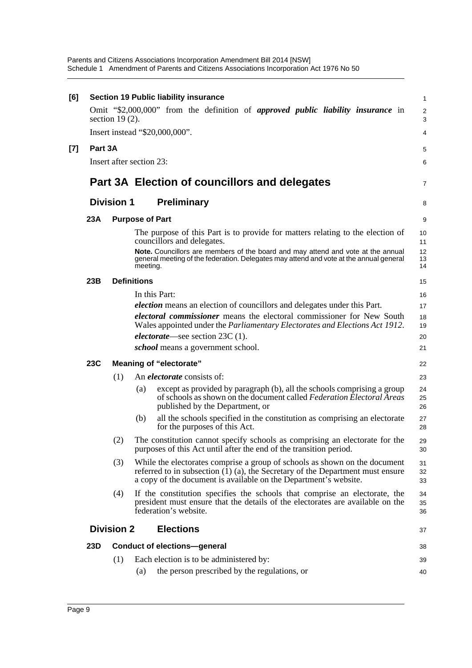Parents and Citizens Associations Incorporation Amendment Bill 2014 [NSW] Schedule 1 Amendment of Parents and Citizens Associations Incorporation Act 1976 No 50

| [6] |         |                   | <b>Section 19 Public liability insurance</b>                                                                                                                                                                                                                                               | $\mathbf{1}$         |
|-----|---------|-------------------|--------------------------------------------------------------------------------------------------------------------------------------------------------------------------------------------------------------------------------------------------------------------------------------------|----------------------|
|     |         | section $19(2)$ . | Omit "\$2,000,000" from the definition of <i>approved public liability insurance</i> in                                                                                                                                                                                                    | 2<br>3               |
|     |         |                   | Insert instead "\$20,000,000".                                                                                                                                                                                                                                                             | 4                    |
| [7] | Part 3A |                   |                                                                                                                                                                                                                                                                                            | 5                    |
|     |         |                   | Insert after section 23:                                                                                                                                                                                                                                                                   | 6                    |
|     |         |                   | Part 3A Election of councillors and delegates                                                                                                                                                                                                                                              | 7                    |
|     |         | <b>Division 1</b> | <b>Preliminary</b>                                                                                                                                                                                                                                                                         | 8                    |
|     | 23A     |                   | <b>Purpose of Part</b>                                                                                                                                                                                                                                                                     | 9                    |
|     |         |                   | The purpose of this Part is to provide for matters relating to the election of<br>councillors and delegates.<br>Note. Councillors are members of the board and may attend and vote at the annual<br>general meeting of the federation. Delegates may attend and vote at the annual general | 10<br>11<br>12<br>13 |
|     |         |                   | meeting.                                                                                                                                                                                                                                                                                   | 14                   |
|     | 23B     |                   | <b>Definitions</b>                                                                                                                                                                                                                                                                         | 15                   |
|     |         |                   | In this Part:                                                                                                                                                                                                                                                                              | 16                   |
|     |         |                   | <i>election</i> means an election of councillors and delegates under this Part.                                                                                                                                                                                                            | 17                   |
|     |         |                   | <i>electoral commissioner</i> means the electoral commissioner for New South<br>Wales appointed under the Parliamentary Electorates and Elections Act 1912.                                                                                                                                | 18<br>19             |
|     |         |                   | <i>electorate—see section</i> $23C(1)$ .                                                                                                                                                                                                                                                   | 20                   |
|     |         |                   | <i>school</i> means a government school.                                                                                                                                                                                                                                                   | 21                   |
|     | 23C     |                   | <b>Meaning of "electorate"</b>                                                                                                                                                                                                                                                             | 22                   |
|     |         | (1)               | An <i>electorate</i> consists of:                                                                                                                                                                                                                                                          | 23                   |
|     |         |                   | except as provided by paragraph (b), all the schools comprising a group<br>(a)<br>of schools as shown on the document called Federation Electoral Areas<br>published by the Department, or                                                                                                 | 24<br>25<br>26       |
|     |         |                   | all the schools specified in the constitution as comprising an electorate<br>(b)<br>for the purposes of this Act.                                                                                                                                                                          | 27<br>28             |
|     |         | (2)               | The constitution cannot specify schools as comprising an electorate for the<br>purposes of this Act until after the end of the transition period.                                                                                                                                          | 29<br>30             |
|     |         | (3)               | While the electorates comprise a group of schools as shown on the document<br>referred to in subsection $(1)$ $(a)$ , the Secretary of the Department must ensure<br>a copy of the document is available on the Department's website.                                                      | 31<br>32<br>33       |
|     |         | (4)               | If the constitution specifies the schools that comprise an electorate, the<br>president must ensure that the details of the electorates are available on the<br>federation's website.                                                                                                      | 34<br>35<br>36       |
|     |         | <b>Division 2</b> | <b>Elections</b>                                                                                                                                                                                                                                                                           | 37                   |
|     | 23D     |                   | <b>Conduct of elections-general</b>                                                                                                                                                                                                                                                        | 38                   |
|     |         | (1)               | Each election is to be administered by:                                                                                                                                                                                                                                                    | 39                   |
|     |         |                   | the person prescribed by the regulations, or<br>(a)                                                                                                                                                                                                                                        | 40                   |
|     |         |                   |                                                                                                                                                                                                                                                                                            |                      |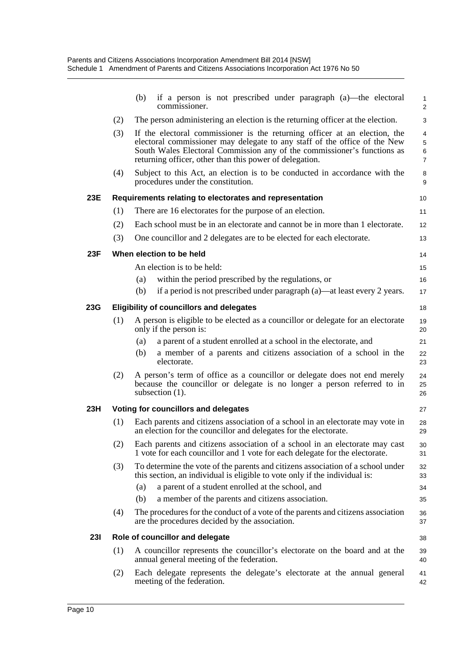|            |     | if a person is not prescribed under paragraph (a)—the electoral<br>(b)<br>commissioner.                                                                                                                                                                                                       | $\mathbf{1}$<br>$\overline{2}$ |
|------------|-----|-----------------------------------------------------------------------------------------------------------------------------------------------------------------------------------------------------------------------------------------------------------------------------------------------|--------------------------------|
|            | (2) | The person administering an election is the returning officer at the election.                                                                                                                                                                                                                | 3                              |
|            | (3) | If the electoral commissioner is the returning officer at an election, the<br>electoral commissioner may delegate to any staff of the office of the New<br>South Wales Electoral Commission any of the commissioner's functions as<br>returning officer, other than this power of delegation. | 4<br>5<br>6<br>$\overline{7}$  |
|            | (4) | Subject to this Act, an election is to be conducted in accordance with the<br>procedures under the constitution.                                                                                                                                                                              | 8<br>9                         |
| 23E        |     | Requirements relating to electorates and representation                                                                                                                                                                                                                                       | 10 <sup>10</sup>               |
|            | (1) | There are 16 electorates for the purpose of an election.                                                                                                                                                                                                                                      | 11                             |
|            | (2) | Each school must be in an electorate and cannot be in more than 1 electorate.                                                                                                                                                                                                                 | 12                             |
|            | (3) | One councillor and 2 delegates are to be elected for each electorate.                                                                                                                                                                                                                         | 13                             |
| 23F        |     | When election to be held                                                                                                                                                                                                                                                                      | 14                             |
|            |     | An election is to be held:                                                                                                                                                                                                                                                                    | 15                             |
|            |     | within the period prescribed by the regulations, or<br>(a)                                                                                                                                                                                                                                    | 16                             |
|            |     | if a period is not prescribed under paragraph (a)—at least every 2 years.<br>(b)                                                                                                                                                                                                              | 17                             |
| 23G        |     | <b>Eligibility of councillors and delegates</b>                                                                                                                                                                                                                                               | 18                             |
|            | (1) | A person is eligible to be elected as a councillor or delegate for an electorate<br>only if the person is:                                                                                                                                                                                    | 19<br>20                       |
|            |     | a parent of a student enrolled at a school in the electorate, and<br>(a)                                                                                                                                                                                                                      | 21                             |
|            |     | a member of a parents and citizens association of a school in the<br>(b)<br>electorate.                                                                                                                                                                                                       | 22<br>23                       |
|            | (2) | A person's term of office as a councillor or delegate does not end merely<br>because the councillor or delegate is no longer a person referred to in<br>subsection $(1)$ .                                                                                                                    | 24<br>25<br>26                 |
| 23H        |     | Voting for councillors and delegates                                                                                                                                                                                                                                                          | 27                             |
|            | (1) | Each parents and citizens association of a school in an electorate may vote in<br>an election for the councillor and delegates for the electorate.                                                                                                                                            | 28<br>29                       |
|            | (2) | Each parents and citizens association of a school in an electorate may cast<br>1 vote for each councillor and 1 vote for each delegate for the electorate.                                                                                                                                    | 30<br>31                       |
|            | (3) | To determine the vote of the parents and citizens association of a school under<br>this section, an individual is eligible to vote only if the individual is:                                                                                                                                 | 32<br>33                       |
|            |     | (a)<br>a parent of a student enrolled at the school, and                                                                                                                                                                                                                                      | 34                             |
|            |     | a member of the parents and citizens association.<br>(b)                                                                                                                                                                                                                                      | 35                             |
|            | (4) | The procedures for the conduct of a vote of the parents and citizens association<br>are the procedures decided by the association.                                                                                                                                                            | 36<br>37                       |
| <b>231</b> |     | Role of councillor and delegate                                                                                                                                                                                                                                                               | 38                             |
|            | (1) | A councillor represents the councillor's electorate on the board and at the<br>annual general meeting of the federation.                                                                                                                                                                      | 39<br>40                       |
|            | (2) | Each delegate represents the delegate's electorate at the annual general<br>meeting of the federation.                                                                                                                                                                                        | 41<br>42                       |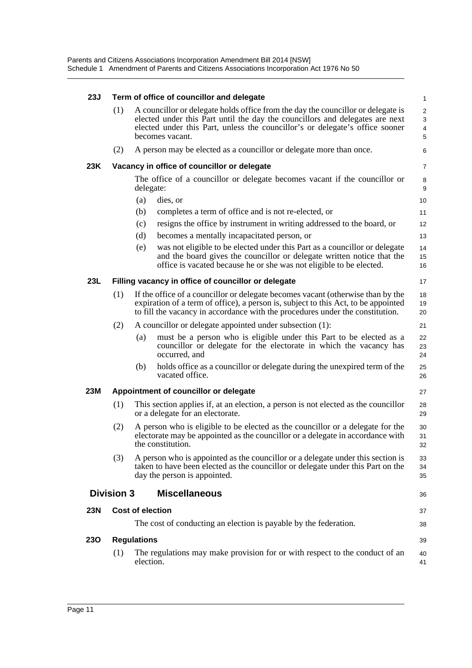| <b>23J</b> | Term of office of councillor and delegate |                         |                                                                                                                                                                                                                                                                     |                               |  |  |
|------------|-------------------------------------------|-------------------------|---------------------------------------------------------------------------------------------------------------------------------------------------------------------------------------------------------------------------------------------------------------------|-------------------------------|--|--|
|            | (1)                                       |                         | A councillor or delegate holds office from the day the councillor or delegate is<br>elected under this Part until the day the councillors and delegates are next<br>elected under this Part, unless the councillor's or delegate's office sooner<br>becomes vacant. | $\overline{2}$<br>3<br>4<br>5 |  |  |
|            | (2)                                       |                         | A person may be elected as a councillor or delegate more than once.                                                                                                                                                                                                 | 6                             |  |  |
| 23K        |                                           |                         | Vacancy in office of councillor or delegate                                                                                                                                                                                                                         | $\overline{7}$                |  |  |
|            |                                           | delegate:               | The office of a councillor or delegate becomes vacant if the councillor or                                                                                                                                                                                          | 8<br>9                        |  |  |
|            |                                           | (a)                     | dies, or                                                                                                                                                                                                                                                            | 10                            |  |  |
|            |                                           | (b)                     | completes a term of office and is not re-elected, or                                                                                                                                                                                                                | 11                            |  |  |
|            |                                           | (c)                     | resigns the office by instrument in writing addressed to the board, or                                                                                                                                                                                              | 12                            |  |  |
|            |                                           | (d)                     | becomes a mentally incapacitated person, or                                                                                                                                                                                                                         | 13                            |  |  |
|            |                                           | (e)                     | was not eligible to be elected under this Part as a councillor or delegate<br>and the board gives the councillor or delegate written notice that the<br>office is vacated because he or she was not eligible to be elected.                                         | 14<br>15<br>16                |  |  |
| 23L        |                                           |                         | Filling vacancy in office of councillor or delegate                                                                                                                                                                                                                 | 17                            |  |  |
|            | (1)                                       |                         | If the office of a councillor or delegate becomes vacant (otherwise than by the<br>expiration of a term of office), a person is, subject to this Act, to be appointed<br>to fill the vacancy in accordance with the procedures under the constitution.              | 18<br>19<br>20                |  |  |
|            | (2)                                       |                         | A councillor or delegate appointed under subsection (1):                                                                                                                                                                                                            | 21                            |  |  |
|            |                                           | (a)                     | must be a person who is eligible under this Part to be elected as a<br>councillor or delegate for the electorate in which the vacancy has<br>occurred, and                                                                                                          | 22<br>23<br>24                |  |  |
|            |                                           | (b)                     | holds office as a councillor or delegate during the unexpired term of the<br>vacated office.                                                                                                                                                                        | 25<br>26                      |  |  |
| <b>23M</b> |                                           |                         | Appointment of councillor or delegate                                                                                                                                                                                                                               | 27                            |  |  |
|            | (1)                                       |                         | This section applies if, at an election, a person is not elected as the councillor<br>or a delegate for an electorate.                                                                                                                                              | 28<br>29                      |  |  |
|            | (2)                                       |                         | A person who is eligible to be elected as the councillor or a delegate for the<br>electorate may be appointed as the councillor or a delegate in accordance with<br>the constitution.                                                                               | 30<br>31<br>32                |  |  |
|            | (3)                                       |                         | A person who is appointed as the council or or a delegate under this section is<br>taken to have been elected as the councillor or delegate under this Part on the<br>day the person is appointed.                                                                  | 33<br>34<br>35                |  |  |
|            | <b>Division 3</b>                         |                         | <b>Miscellaneous</b>                                                                                                                                                                                                                                                | 36                            |  |  |
| <b>23N</b> |                                           | <b>Cost of election</b> |                                                                                                                                                                                                                                                                     | 37                            |  |  |
|            |                                           |                         | The cost of conducting an election is payable by the federation.                                                                                                                                                                                                    | 38                            |  |  |
| <b>230</b> |                                           | <b>Regulations</b>      |                                                                                                                                                                                                                                                                     | 39                            |  |  |
|            | (1)                                       | election.               | The regulations may make provision for or with respect to the conduct of an                                                                                                                                                                                         | 40<br>41                      |  |  |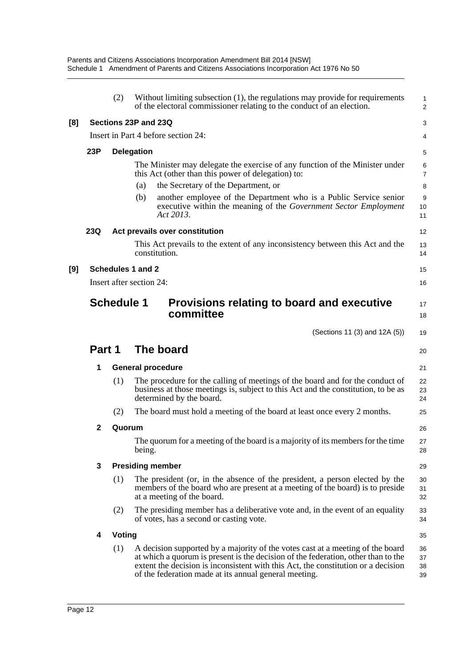|     |              | (2)               | Without limiting subsection (1), the regulations may provide for requirements<br>of the electoral commissioner relating to the conduct of an election.                                                                                                                                                            | 1<br>$\overline{a}$  |
|-----|--------------|-------------------|-------------------------------------------------------------------------------------------------------------------------------------------------------------------------------------------------------------------------------------------------------------------------------------------------------------------|----------------------|
| [8] |              |                   | Sections 23P and 23Q                                                                                                                                                                                                                                                                                              | 3                    |
|     |              |                   | Insert in Part 4 before section 24:                                                                                                                                                                                                                                                                               | 4                    |
|     | 23P          |                   | <b>Delegation</b>                                                                                                                                                                                                                                                                                                 | 5                    |
|     |              |                   | The Minister may delegate the exercise of any function of the Minister under<br>this Act (other than this power of delegation) to:                                                                                                                                                                                | 6<br>7               |
|     |              |                   | the Secretary of the Department, or<br>(a)                                                                                                                                                                                                                                                                        | 8                    |
|     |              |                   | another employee of the Department who is a Public Service senior<br>(b)<br>executive within the meaning of the Government Sector Employment<br>Act 2013.                                                                                                                                                         | 9<br>10<br>11        |
|     | 23Q          |                   | Act prevails over constitution                                                                                                                                                                                                                                                                                    | 12                   |
|     |              |                   | This Act prevails to the extent of any inconsistency between this Act and the<br>constitution.                                                                                                                                                                                                                    | 13<br>14             |
| [9] |              |                   | Schedules 1 and 2                                                                                                                                                                                                                                                                                                 | 15                   |
|     |              |                   | Insert after section 24:                                                                                                                                                                                                                                                                                          | 16                   |
|     |              | <b>Schedule 1</b> | Provisions relating to board and executive<br>committee                                                                                                                                                                                                                                                           | 17<br>18             |
|     |              |                   | (Sections 11 (3) and 12A (5))                                                                                                                                                                                                                                                                                     | 19                   |
|     | Part 1       |                   | The board                                                                                                                                                                                                                                                                                                         | 20                   |
|     | 1            |                   | <b>General procedure</b>                                                                                                                                                                                                                                                                                          | 21                   |
|     |              | (1)               | The procedure for the calling of meetings of the board and for the conduct of<br>business at those meetings is, subject to this Act and the constitution, to be as<br>determined by the board.                                                                                                                    | 22<br>23<br>24       |
|     |              | (2)               | The board must hold a meeting of the board at least once every 2 months.                                                                                                                                                                                                                                          | 25                   |
|     | $\mathbf{2}$ | Quorum            |                                                                                                                                                                                                                                                                                                                   | 26                   |
|     |              |                   | The quorum for a meeting of the board is a majority of its members for the time<br>being.                                                                                                                                                                                                                         | 27<br>28             |
|     | 3            |                   | <b>Presiding member</b>                                                                                                                                                                                                                                                                                           | 29                   |
|     |              | (1)               | The president (or, in the absence of the president, a person elected by the<br>members of the board who are present at a meeting of the board) is to preside<br>at a meeting of the board.                                                                                                                        | 30<br>31<br>32       |
|     |              | (2)               | The presiding member has a deliberative vote and, in the event of an equality<br>of votes, has a second or casting vote.                                                                                                                                                                                          | 33<br>34             |
|     | 4            | Voting            |                                                                                                                                                                                                                                                                                                                   | 35                   |
|     |              | (1)               | A decision supported by a majority of the votes cast at a meeting of the board<br>at which a quorum is present is the decision of the federation, other than to the<br>extent the decision is inconsistent with this Act, the constitution or a decision<br>of the federation made at its annual general meeting. | 36<br>37<br>38<br>39 |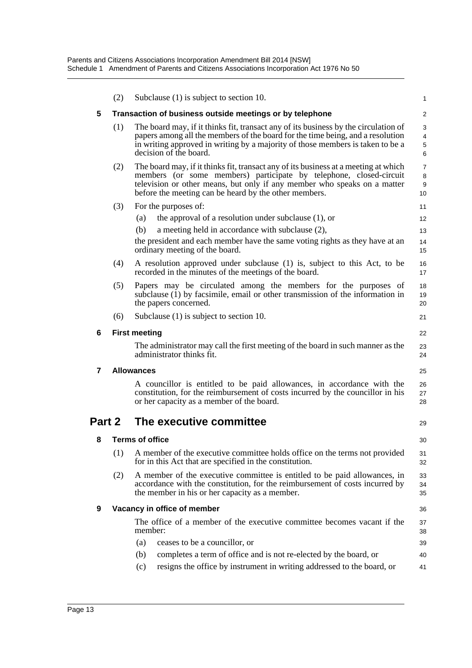|        | (2)                                                      | Subclause (1) is subject to section 10.                                                                                                                                                                                                                                                        | $\mathbf{1}$                     |  |
|--------|----------------------------------------------------------|------------------------------------------------------------------------------------------------------------------------------------------------------------------------------------------------------------------------------------------------------------------------------------------------|----------------------------------|--|
| 5      | Transaction of business outside meetings or by telephone |                                                                                                                                                                                                                                                                                                |                                  |  |
|        | (1)                                                      | The board may, if it thinks fit, transact any of its business by the circulation of<br>papers among all the members of the board for the time being, and a resolution<br>in writing approved in writing by a majority of those members is taken to be a<br>decision of the board.              | 3<br>4<br>5<br>6                 |  |
|        | (2)                                                      | The board may, if it thinks fit, transact any of its business at a meeting at which<br>members (or some members) participate by telephone, closed-circuit<br>television or other means, but only if any member who speaks on a matter<br>before the meeting can be heard by the other members. | $\overline{7}$<br>8<br>9<br>10   |  |
|        | (3)                                                      | For the purposes of:                                                                                                                                                                                                                                                                           | 11                               |  |
|        |                                                          | (a)<br>the approval of a resolution under subclause $(1)$ , or                                                                                                                                                                                                                                 | $12 \overline{ }$                |  |
|        |                                                          | (b)<br>a meeting held in accordance with subclause (2),                                                                                                                                                                                                                                        | 13                               |  |
|        |                                                          | the president and each member have the same voting rights as they have at an<br>ordinary meeting of the board.                                                                                                                                                                                 | 14<br>15                         |  |
|        | (4)                                                      | A resolution approved under subclause (1) is, subject to this Act, to be<br>recorded in the minutes of the meetings of the board.                                                                                                                                                              | 16<br>17                         |  |
|        | (5)                                                      | Papers may be circulated among the members for the purposes of<br>subclause (1) by facsimile, email or other transmission of the information in<br>the papers concerned.                                                                                                                       | 18<br>19<br>20                   |  |
|        | (6)                                                      | Subclause (1) is subject to section 10.                                                                                                                                                                                                                                                        | 21                               |  |
| 6      | <b>First meeting</b>                                     |                                                                                                                                                                                                                                                                                                |                                  |  |
|        |                                                          | The administrator may call the first meeting of the board in such manner as the<br>administrator thinks fit.                                                                                                                                                                                   | 23<br>24                         |  |
|        |                                                          |                                                                                                                                                                                                                                                                                                |                                  |  |
| 7      |                                                          | <b>Allowances</b>                                                                                                                                                                                                                                                                              | 25                               |  |
|        |                                                          | A councillor is entitled to be paid allowances, in accordance with the<br>constitution, for the reimbursement of costs incurred by the councillor in his<br>or her capacity as a member of the board.                                                                                          | 26<br>27<br>28                   |  |
| Part 2 |                                                          | The executive committee                                                                                                                                                                                                                                                                        |                                  |  |
| 8      |                                                          | <b>Terms of office</b>                                                                                                                                                                                                                                                                         | 29<br>30                         |  |
|        | (1)                                                      | A member of the executive committee holds office on the terms not provided<br>for in this Act that are specified in the constitution.                                                                                                                                                          | 31<br>32                         |  |
|        | (2)                                                      | A member of the executive committee is entitled to be paid allowances, in<br>accordance with the constitution, for the reimbursement of costs incurred by<br>the member in his or her capacity as a member.                                                                                    |                                  |  |
| 9      |                                                          | Vacancy in office of member                                                                                                                                                                                                                                                                    |                                  |  |
|        |                                                          | The office of a member of the executive committee becomes vacant if the<br>member:                                                                                                                                                                                                             | 33<br>34<br>35<br>36<br>37<br>38 |  |
|        |                                                          | (a)<br>ceases to be a councillor, or                                                                                                                                                                                                                                                           | 39                               |  |
|        |                                                          | completes a term of office and is not re-elected by the board, or<br>(b)<br>resigns the office by instrument in writing addressed to the board, or                                                                                                                                             | 40                               |  |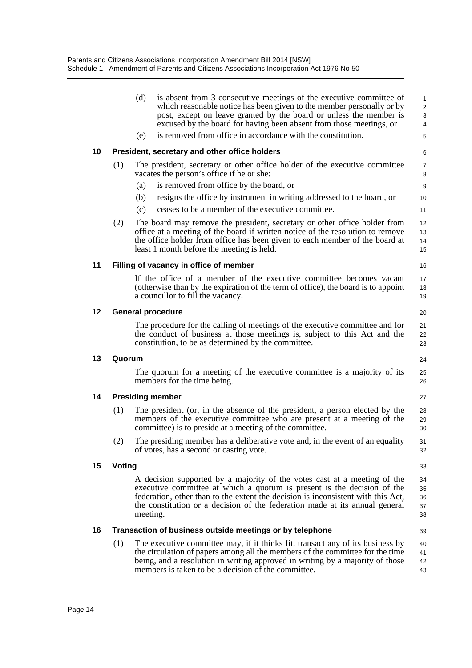|    |                                | (d)      | is absent from 3 consecutive meetings of the executive committee of<br>which reasonable notice has been given to the member personally or by<br>post, except on leave granted by the board or unless the member is<br>excused by the board for having been absent from those meetings, or                              | 1<br>$\overline{\mathbf{c}}$<br>3<br>4 |  |
|----|--------------------------------|----------|------------------------------------------------------------------------------------------------------------------------------------------------------------------------------------------------------------------------------------------------------------------------------------------------------------------------|----------------------------------------|--|
|    |                                | (e)      | is removed from office in accordance with the constitution.                                                                                                                                                                                                                                                            | 5                                      |  |
| 10 |                                |          | President, secretary and other office holders                                                                                                                                                                                                                                                                          | 6                                      |  |
|    | (1)                            |          | The president, secretary or other office holder of the executive committee<br>vacates the person's office if he or she:                                                                                                                                                                                                | 7<br>8                                 |  |
|    |                                | (a)      | is removed from office by the board, or                                                                                                                                                                                                                                                                                | 9                                      |  |
|    |                                | (b)      | resigns the office by instrument in writing addressed to the board, or                                                                                                                                                                                                                                                 | 10                                     |  |
|    |                                | (c)      | ceases to be a member of the executive committee.                                                                                                                                                                                                                                                                      | 11                                     |  |
|    | (2)                            |          | The board may remove the president, secretary or other office holder from<br>office at a meeting of the board if written notice of the resolution to remove<br>the office holder from office has been given to each member of the board at<br>least 1 month before the meeting is held.                                | 12<br>13<br>14<br>15                   |  |
| 11 |                                |          | Filling of vacancy in office of member                                                                                                                                                                                                                                                                                 | 16                                     |  |
|    |                                |          | If the office of a member of the executive committee becomes vacant<br>(otherwise than by the expiration of the term of office), the board is to appoint<br>a councillor to fill the vacancy.                                                                                                                          | 17<br>18<br>19                         |  |
| 12 | <b>General procedure</b><br>20 |          |                                                                                                                                                                                                                                                                                                                        |                                        |  |
|    |                                |          | The procedure for the calling of meetings of the executive committee and for<br>the conduct of business at those meetings is, subject to this Act and the<br>constitution, to be as determined by the committee.                                                                                                       | 21<br>22<br>23                         |  |
| 13 | Quorum                         |          |                                                                                                                                                                                                                                                                                                                        |                                        |  |
|    |                                |          | The quorum for a meeting of the executive committee is a majority of its<br>members for the time being.                                                                                                                                                                                                                | 25<br>26                               |  |
| 14 | <b>Presiding member</b>        |          |                                                                                                                                                                                                                                                                                                                        |                                        |  |
|    | (1)                            |          | The president (or, in the absence of the president, a person elected by the<br>members of the executive committee who are present at a meeting of the<br>committee) is to preside at a meeting of the committee.                                                                                                       | 28<br>29<br>30                         |  |
|    | (2)                            |          | The presiding member has a deliberative vote and, in the event of an equality<br>of votes, has a second or casting vote.                                                                                                                                                                                               | 31<br>32                               |  |
| 15 | Voting                         |          |                                                                                                                                                                                                                                                                                                                        |                                        |  |
|    |                                | meeting. | A decision supported by a majority of the votes cast at a meeting of the<br>executive committee at which a quorum is present is the decision of the<br>federation, other than to the extent the decision is inconsistent with this Act,<br>the constitution or a decision of the federation made at its annual general | 34<br>35<br>36<br>37<br>38             |  |
| 16 |                                |          | Transaction of business outside meetings or by telephone                                                                                                                                                                                                                                                               | 39                                     |  |
|    | (1)                            |          | The executive committee may, if it thinks fit, transact any of its business by<br>the circulation of papers among all the members of the committee for the time<br>being, and a resolution in writing approved in writing by a majority of those<br>members is taken to be a decision of the committee.                | 40<br>41<br>42<br>43                   |  |
|    |                                |          |                                                                                                                                                                                                                                                                                                                        |                                        |  |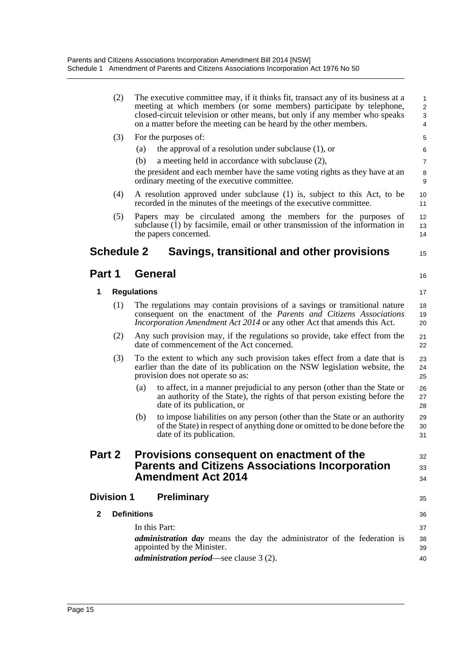|               | (2)               | The executive committee may, if it thinks fit, transact any of its business at a<br>meeting at which members (or some members) participate by telephone,<br>closed-circuit television or other means, but only if any member who speaks<br>on a matter before the meeting can be heard by the other members. | $\mathbf{1}$<br>2<br>3<br>4 |  |
|---------------|-------------------|--------------------------------------------------------------------------------------------------------------------------------------------------------------------------------------------------------------------------------------------------------------------------------------------------------------|-----------------------------|--|
|               | (3)               | For the purposes of:                                                                                                                                                                                                                                                                                         | 5                           |  |
|               |                   | the approval of a resolution under subclause $(1)$ , or<br>(a)                                                                                                                                                                                                                                               | 6                           |  |
|               |                   | (b)<br>a meeting held in accordance with subclause (2),                                                                                                                                                                                                                                                      | $\overline{7}$              |  |
|               |                   | the president and each member have the same voting rights as they have at an<br>ordinary meeting of the executive committee.                                                                                                                                                                                 | 8<br>9                      |  |
|               | (4)               | A resolution approved under subclause (1) is, subject to this Act, to be<br>recorded in the minutes of the meetings of the executive committee.                                                                                                                                                              | 10<br>11                    |  |
|               | (5)               | Papers may be circulated among the members for the purposes of<br>subclause (1) by facsimile, email or other transmission of the information in<br>the papers concerned.                                                                                                                                     | 12<br>13<br>14              |  |
|               | <b>Schedule 2</b> | Savings, transitional and other provisions                                                                                                                                                                                                                                                                   | 15                          |  |
| Part 1        |                   | General                                                                                                                                                                                                                                                                                                      | 16                          |  |
| 1             |                   | <b>Regulations</b>                                                                                                                                                                                                                                                                                           | 17                          |  |
|               | (1)               | The regulations may contain provisions of a savings or transitional nature<br>consequent on the enactment of the Parents and Citizens Associations<br><i>Incorporation Amendment Act 2014</i> or any other Act that amends this Act.                                                                         | 18<br>19<br>20              |  |
|               | (2)               | Any such provision may, if the regulations so provide, take effect from the<br>date of commencement of the Act concerned.                                                                                                                                                                                    | 21<br>22                    |  |
|               | (3)               | To the extent to which any such provision takes effect from a date that is<br>earlier than the date of its publication on the NSW legislation website, the<br>provision does not operate so as:                                                                                                              | 23<br>24<br>25              |  |
|               |                   | to affect, in a manner prejudicial to any person (other than the State or<br>(a)<br>an authority of the State), the rights of that person existing before the<br>date of its publication, or                                                                                                                 | 26<br>27<br>28              |  |
|               |                   | to impose liabilities on any person (other than the State or an authority<br>(b)<br>of the State) in respect of anything done or omitted to be done before the<br>date of its publication.                                                                                                                   | 29<br>30<br>31              |  |
| <b>Part 2</b> |                   | Provisions consequent on enactment of the<br><b>Parents and Citizens Associations Incorporation</b><br><b>Amendment Act 2014</b>                                                                                                                                                                             |                             |  |
|               | <b>Division 1</b> | <b>Preliminary</b>                                                                                                                                                                                                                                                                                           | 35                          |  |
| 2             |                   | <b>Definitions</b>                                                                                                                                                                                                                                                                                           | 36                          |  |
|               |                   | In this Part:                                                                                                                                                                                                                                                                                                | 37                          |  |
|               |                   | <i>administration day</i> means the day the administrator of the federation is<br>appointed by the Minister.<br><i>administration period</i> —see clause 3 (2).                                                                                                                                              | 38<br>39<br>40              |  |
|               |                   |                                                                                                                                                                                                                                                                                                              |                             |  |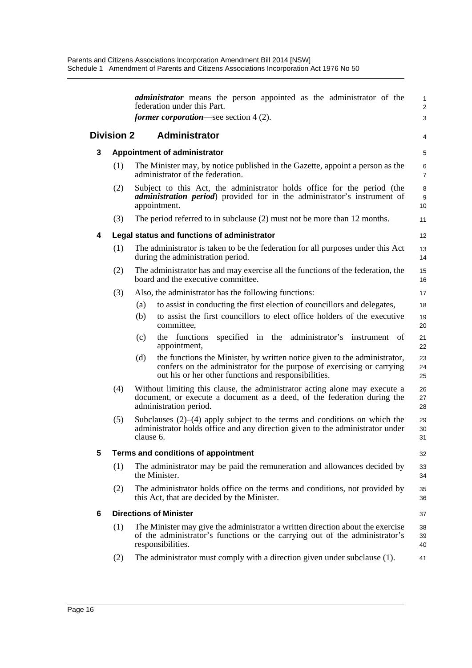|   |                                           |           | <i>administrator</i> means the person appointed as the administrator of the<br>federation under this Part.                                                                                                  | 1<br>2              |  |  |
|---|-------------------------------------------|-----------|-------------------------------------------------------------------------------------------------------------------------------------------------------------------------------------------------------------|---------------------|--|--|
|   |                                           |           | <i>former corporation—see section</i> $4(2)$ .                                                                                                                                                              | 3                   |  |  |
|   | <b>Division 2</b>                         |           | <b>Administrator</b>                                                                                                                                                                                        | 4                   |  |  |
| 3 | <b>Appointment of administrator</b>       |           |                                                                                                                                                                                                             | 5                   |  |  |
|   | (1)                                       |           | The Minister may, by notice published in the Gazette, appoint a person as the<br>administrator of the federation.                                                                                           | 6<br>$\overline{7}$ |  |  |
|   | (2)                                       |           | Subject to this Act, the administrator holds office for the period (the<br><i>administration period</i> ) provided for in the administrator's instrument of<br>appointment.                                 | 8<br>9<br>10        |  |  |
|   | (3)                                       |           | The period referred to in subclause (2) must not be more than 12 months.                                                                                                                                    | 11                  |  |  |
| 4 |                                           |           | Legal status and functions of administrator                                                                                                                                                                 | 12                  |  |  |
|   | (1)                                       |           | The administrator is taken to be the federation for all purposes under this Act<br>during the administration period.                                                                                        | 13<br>14            |  |  |
|   | (2)                                       |           | The administrator has and may exercise all the functions of the federation, the<br>board and the executive committee.                                                                                       | 15<br>16            |  |  |
|   | (3)                                       |           | Also, the administrator has the following functions:                                                                                                                                                        | 17                  |  |  |
|   |                                           | (a)       | to assist in conducting the first election of councillors and delegates,                                                                                                                                    | 18                  |  |  |
|   |                                           | (b)       | to assist the first councillors to elect office holders of the executive<br>committee,                                                                                                                      | 19<br>20            |  |  |
|   |                                           | (c)       | the functions<br>specified in the administrator's instrument<br>appointment,                                                                                                                                | of<br>21<br>22      |  |  |
|   |                                           | (d)       | the functions the Minister, by written notice given to the administrator,<br>confers on the administrator for the purpose of exercising or carrying<br>out his or her other functions and responsibilities. | 23<br>24<br>25      |  |  |
|   | (4)                                       |           | Without limiting this clause, the administrator acting alone may execute a<br>document, or execute a document as a deed, of the federation during the<br>administration period.                             | 26<br>27<br>28      |  |  |
|   | (5)                                       | clause 6. | Subclauses $(2)$ – $(4)$ apply subject to the terms and conditions on which the<br>administrator holds office and any direction given to the administrator under                                            | 29<br>30<br>31      |  |  |
| 5 | Terms and conditions of appointment<br>32 |           |                                                                                                                                                                                                             |                     |  |  |
|   | (1)                                       |           | The administrator may be paid the remuneration and allowances decided by<br>the Minister.                                                                                                                   | 33<br>34            |  |  |
|   | (2)                                       |           | The administrator holds office on the terms and conditions, not provided by<br>this Act, that are decided by the Minister.                                                                                  | 35<br>36            |  |  |
| 6 |                                           |           | <b>Directions of Minister</b>                                                                                                                                                                               | 37                  |  |  |
|   | (1)                                       |           | The Minister may give the administrator a written direction about the exercise<br>of the administrator's functions or the carrying out of the administrator's<br>responsibilities.                          | 38<br>39<br>40      |  |  |
|   | (2)                                       |           | The administrator must comply with a direction given under subclause (1).                                                                                                                                   | 41                  |  |  |
|   |                                           |           |                                                                                                                                                                                                             |                     |  |  |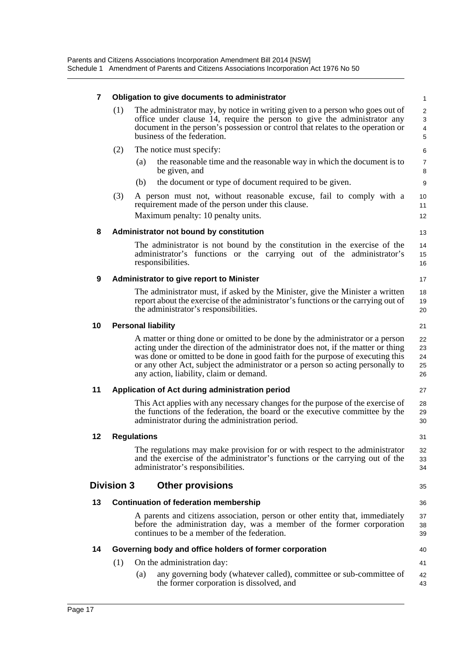Parents and Citizens Associations Incorporation Amendment Bill 2014 [NSW] Schedule 1 Amendment of Parents and Citizens Associations Incorporation Act 1976 No 50

| 7                                                                                                                                                                                                                                                                                  |                                              | Obligation to give documents to administrator                                                                                                                                                                                                                                                                                                                                     |                                    |  |  |
|------------------------------------------------------------------------------------------------------------------------------------------------------------------------------------------------------------------------------------------------------------------------------------|----------------------------------------------|-----------------------------------------------------------------------------------------------------------------------------------------------------------------------------------------------------------------------------------------------------------------------------------------------------------------------------------------------------------------------------------|------------------------------------|--|--|
| The administrator may, by notice in writing given to a person who goes out of<br>(1)<br>office under clause 14, require the person to give the administrator any<br>document in the person's possession or control that relates to the operation or<br>business of the federation. |                                              |                                                                                                                                                                                                                                                                                                                                                                                   | 1<br>$\overline{c}$<br>3<br>4<br>5 |  |  |
|                                                                                                                                                                                                                                                                                    | (2)                                          | The notice must specify:<br>the reasonable time and the reasonable way in which the document is to<br>(a)<br>be given, and<br>the document or type of document required to be given.<br>(b)                                                                                                                                                                                       | 6<br>7<br>8<br>9                   |  |  |
|                                                                                                                                                                                                                                                                                    | (3)                                          | A person must not, without reasonable excuse, fail to comply with a<br>requirement made of the person under this clause.<br>Maximum penalty: 10 penalty units.                                                                                                                                                                                                                    | 10<br>11<br>12                     |  |  |
| 8                                                                                                                                                                                                                                                                                  |                                              | Administrator not bound by constitution                                                                                                                                                                                                                                                                                                                                           | 13                                 |  |  |
|                                                                                                                                                                                                                                                                                    |                                              | The administrator is not bound by the constitution in the exercise of the<br>administrator's functions or the carrying out of the administrator's<br>responsibilities.                                                                                                                                                                                                            | 14<br>15<br>16                     |  |  |
| 9                                                                                                                                                                                                                                                                                  |                                              | Administrator to give report to Minister                                                                                                                                                                                                                                                                                                                                          | 17                                 |  |  |
|                                                                                                                                                                                                                                                                                    |                                              | The administrator must, if asked by the Minister, give the Minister a written<br>report about the exercise of the administrator's functions or the carrying out of<br>the administrator's responsibilities.                                                                                                                                                                       | 18<br>19<br>20                     |  |  |
| 10                                                                                                                                                                                                                                                                                 |                                              | <b>Personal liability</b>                                                                                                                                                                                                                                                                                                                                                         | 21                                 |  |  |
|                                                                                                                                                                                                                                                                                    |                                              | A matter or thing done or omitted to be done by the administrator or a person<br>acting under the direction of the administrator does not, if the matter or thing<br>was done or omitted to be done in good faith for the purpose of executing this<br>or any other Act, subject the administrator or a person so acting personally to<br>any action, liability, claim or demand. | 22<br>23<br>24<br>25<br>26         |  |  |
| 11                                                                                                                                                                                                                                                                                 |                                              | Application of Act during administration period                                                                                                                                                                                                                                                                                                                                   | 27                                 |  |  |
|                                                                                                                                                                                                                                                                                    |                                              | This Act applies with any necessary changes for the purpose of the exercise of<br>the functions of the federation, the board or the executive committee by the<br>administrator during the administration period.                                                                                                                                                                 | 28<br>29<br>30                     |  |  |
| 12                                                                                                                                                                                                                                                                                 | <b>Regulations</b>                           |                                                                                                                                                                                                                                                                                                                                                                                   |                                    |  |  |
|                                                                                                                                                                                                                                                                                    |                                              | The regulations may make provision for or with respect to the administrator<br>and the exercise of the administrator's functions or the carrying out of the<br>administrator's responsibilities.                                                                                                                                                                                  | 32<br>33<br>34                     |  |  |
|                                                                                                                                                                                                                                                                                    | <b>Division 3</b>                            | <b>Other provisions</b>                                                                                                                                                                                                                                                                                                                                                           | 35                                 |  |  |
| 13                                                                                                                                                                                                                                                                                 | <b>Continuation of federation membership</b> |                                                                                                                                                                                                                                                                                                                                                                                   |                                    |  |  |
|                                                                                                                                                                                                                                                                                    |                                              | A parents and citizens association, person or other entity that, immediately<br>before the administration day, was a member of the former corporation<br>continues to be a member of the federation.                                                                                                                                                                              | 37<br>38<br>39                     |  |  |
| 14                                                                                                                                                                                                                                                                                 |                                              | Governing body and office holders of former corporation                                                                                                                                                                                                                                                                                                                           | 40                                 |  |  |
|                                                                                                                                                                                                                                                                                    | (1)                                          | On the administration day:                                                                                                                                                                                                                                                                                                                                                        | 41                                 |  |  |
|                                                                                                                                                                                                                                                                                    |                                              | any governing body (whatever called), committee or sub-committee of<br>(a)<br>the former corporation is dissolved, and                                                                                                                                                                                                                                                            | 42<br>43                           |  |  |